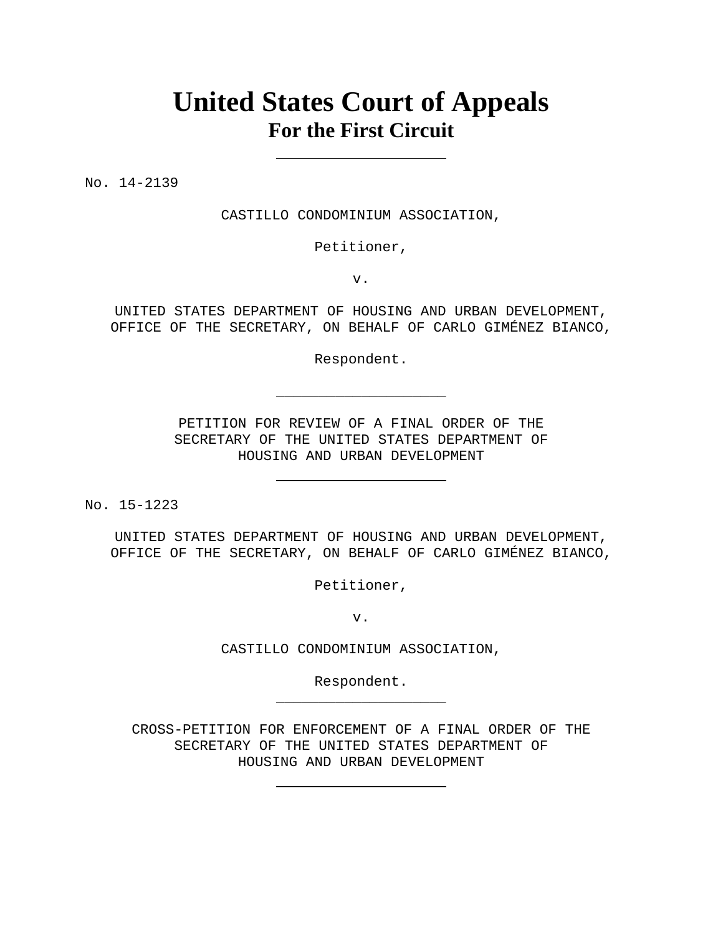# **United States Court of Appeals For the First Circuit**

No. 14-2139

CASTILLO CONDOMINIUM ASSOCIATION,

Petitioner,

v.

UNITED STATES DEPARTMENT OF HOUSING AND URBAN DEVELOPMENT, OFFICE OF THE SECRETARY, ON BEHALF OF CARLO GIMÉNEZ BIANCO,

Respondent.

**\_\_\_\_\_\_\_\_\_\_\_\_\_\_\_\_\_\_\_\_** 

PETITION FOR REVIEW OF A FINAL ORDER OF THE SECRETARY OF THE UNITED STATES DEPARTMENT OF HOUSING AND URBAN DEVELOPMENT

No. 15-1223

UNITED STATES DEPARTMENT OF HOUSING AND URBAN DEVELOPMENT, OFFICE OF THE SECRETARY, ON BEHALF OF CARLO GIMÉNEZ BIANCO,

Petitioner,

v.

CASTILLO CONDOMINIUM ASSOCIATION,

Respondent. **\_\_\_\_\_\_\_\_\_\_\_\_\_\_\_\_\_\_\_\_** 

CROSS-PETITION FOR ENFORCEMENT OF A FINAL ORDER OF THE SECRETARY OF THE UNITED STATES DEPARTMENT OF HOUSING AND URBAN DEVELOPMENT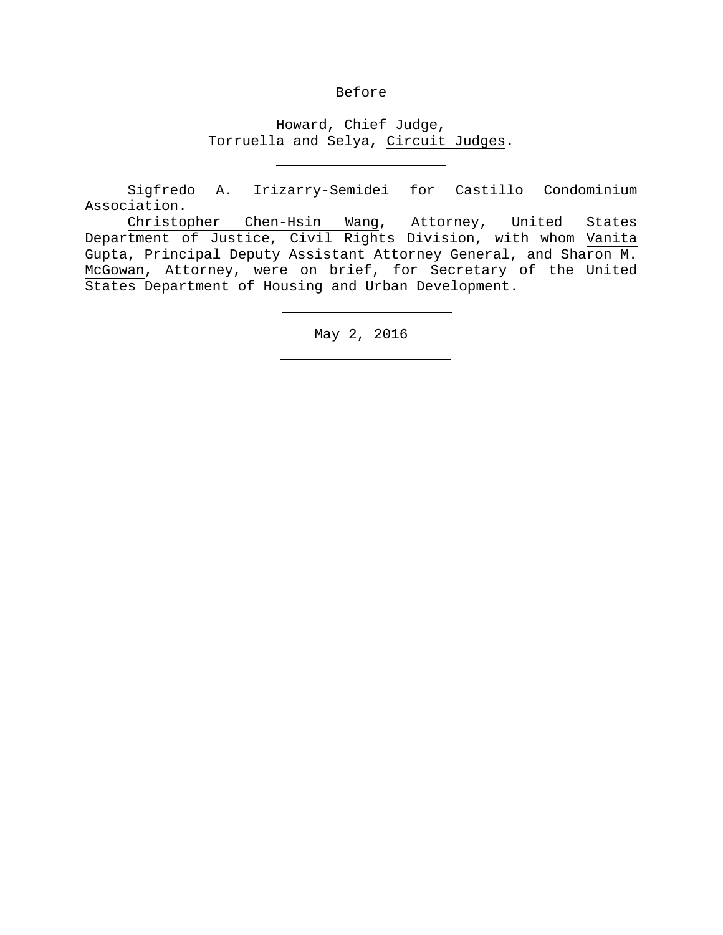### Before

# Howard, Chief Judge, Torruella and Selya, Circuit Judges.

 Sigfredo A. Irizarry-Semidei for Castillo Condominium Association.

 Christopher Chen-Hsin Wang, Attorney, United States Department of Justice, Civil Rights Division, with whom Vanita Gupta, Principal Deputy Assistant Attorney General, and Sharon M. McGowan, Attorney, were on brief, for Secretary of the United States Department of Housing and Urban Development.

May 2, 2016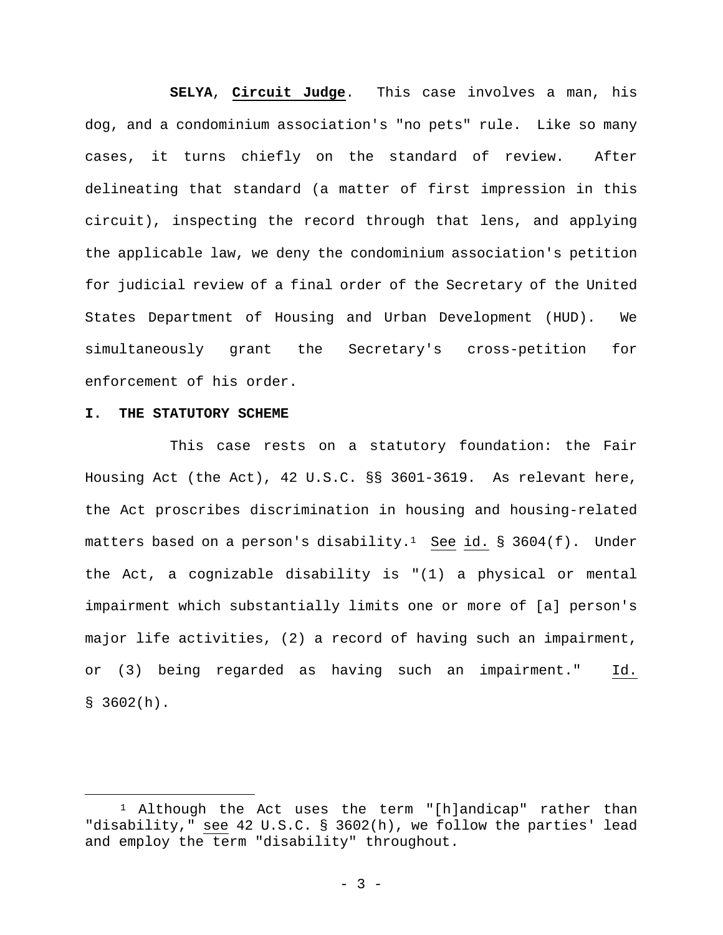**SELYA**, **Circuit Judge**. This case involves a man, his dog, and a condominium association's "no pets" rule. Like so many cases, it turns chiefly on the standard of review. After delineating that standard (a matter of first impression in this circuit), inspecting the record through that lens, and applying the applicable law, we deny the condominium association's petition for judicial review of a final order of the Secretary of the United States Department of Housing and Urban Development (HUD). We simultaneously grant the Secretary's cross-petition for enforcement of his order.

#### **I. THE STATUTORY SCHEME**

i

This case rests on a statutory foundation: the Fair Housing Act (the Act), 42 U.S.C. §§ 3601-3619. As relevant here, the Act proscribes discrimination in housing and housing-related matters based on a person's disability.<sup>1</sup> See id. § 3604(f). Under the Act, a cognizable disability is "(1) a physical or mental impairment which substantially limits one or more of [a] person's major life activities, (2) a record of having such an impairment, or (3) being regarded as having such an impairment." Id.  $$3602(h).$ 

 $1$  Although the Act uses the term "[h]andicap" rather than "disability," see 42 U.S.C. § 3602(h), we follow the parties' lead and employ the term "disability" throughout.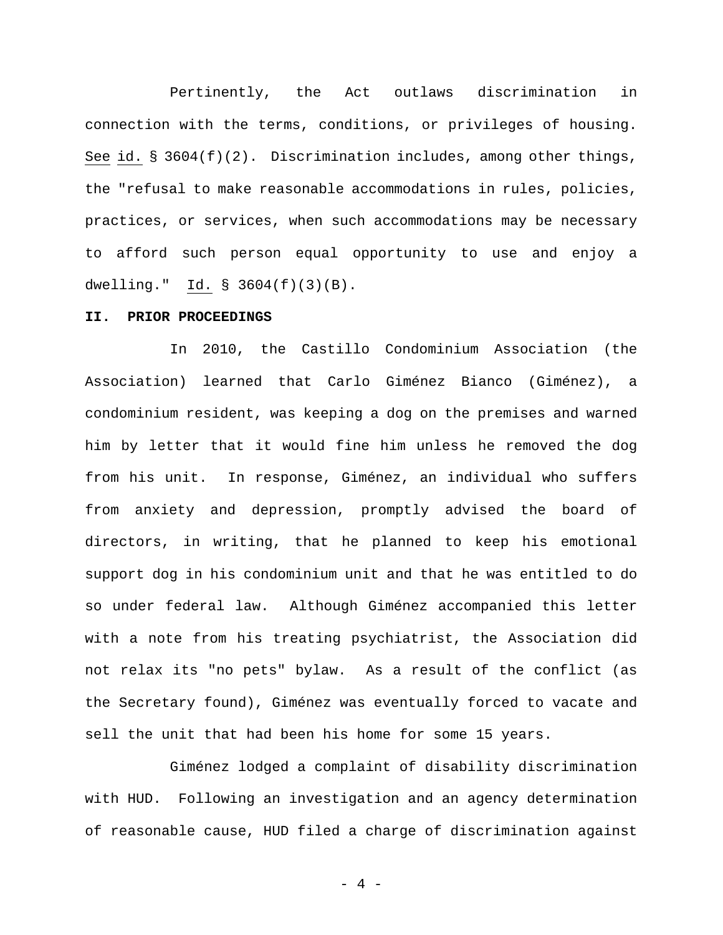Pertinently, the Act outlaws discrimination in connection with the terms, conditions, or privileges of housing. See id. § 3604(f)(2). Discrimination includes, among other things, the "refusal to make reasonable accommodations in rules, policies, practices, or services, when such accommodations may be necessary to afford such person equal opportunity to use and enjoy a dwelling." Id. § 3604(f)(3)(B).

#### **II. PRIOR PROCEEDINGS**

In 2010, the Castillo Condominium Association (the Association) learned that Carlo Giménez Bianco (Giménez), a condominium resident, was keeping a dog on the premises and warned him by letter that it would fine him unless he removed the dog from his unit. In response, Giménez, an individual who suffers from anxiety and depression, promptly advised the board of directors, in writing, that he planned to keep his emotional support dog in his condominium unit and that he was entitled to do so under federal law. Although Giménez accompanied this letter with a note from his treating psychiatrist, the Association did not relax its "no pets" bylaw. As a result of the conflict (as the Secretary found), Giménez was eventually forced to vacate and sell the unit that had been his home for some 15 years.

Giménez lodged a complaint of disability discrimination with HUD. Following an investigation and an agency determination of reasonable cause, HUD filed a charge of discrimination against

 $-4 -$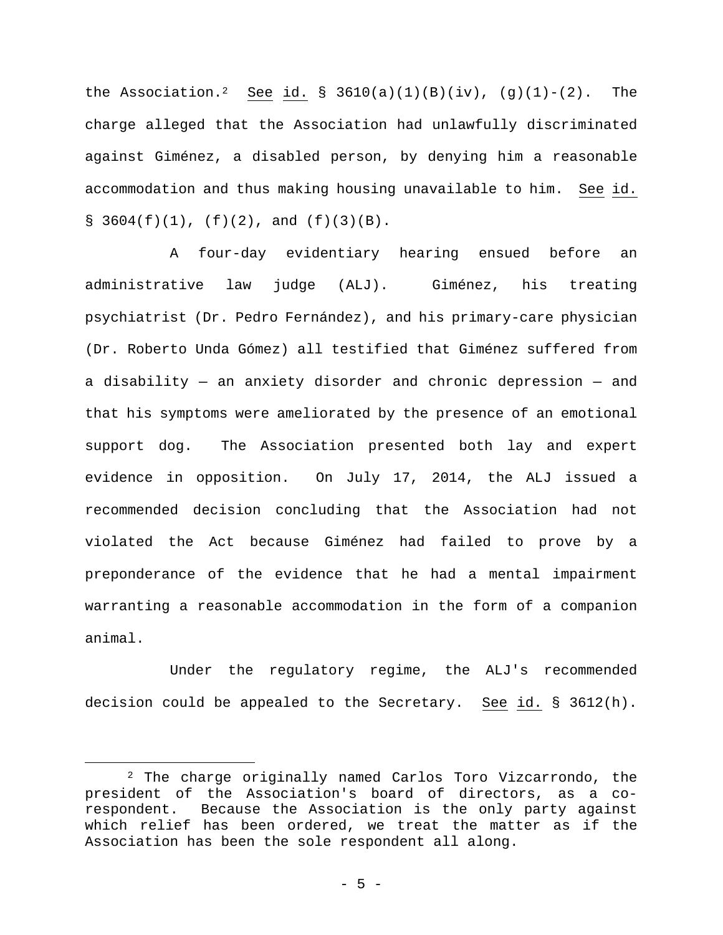the Association.<sup>2</sup> See id. § 3610(a)(1)(B)(iv), (g)(1)-(2). The charge alleged that the Association had unlawfully discriminated against Giménez, a disabled person, by denying him a reasonable accommodation and thus making housing unavailable to him. See id.  $\S$  3604(f)(1), (f)(2), and (f)(3)(B).

A four-day evidentiary hearing ensued before an administrative law judge (ALJ). Giménez, his treating psychiatrist (Dr. Pedro Fernández), and his primary-care physician (Dr. Roberto Unda Gómez) all testified that Giménez suffered from a disability — an anxiety disorder and chronic depression — and that his symptoms were ameliorated by the presence of an emotional support dog. The Association presented both lay and expert evidence in opposition. On July 17, 2014, the ALJ issued a recommended decision concluding that the Association had not violated the Act because Giménez had failed to prove by a preponderance of the evidence that he had a mental impairment warranting a reasonable accommodation in the form of a companion animal.

Under the regulatory regime, the ALJ's recommended decision could be appealed to the Secretary. See id. § 3612(h).

 <sup>2</sup> The charge originally named Carlos Toro Vizcarrondo, the president of the Association's board of directors, as a corespondent. Because the Association is the only party against which relief has been ordered, we treat the matter as if the Association has been the sole respondent all along.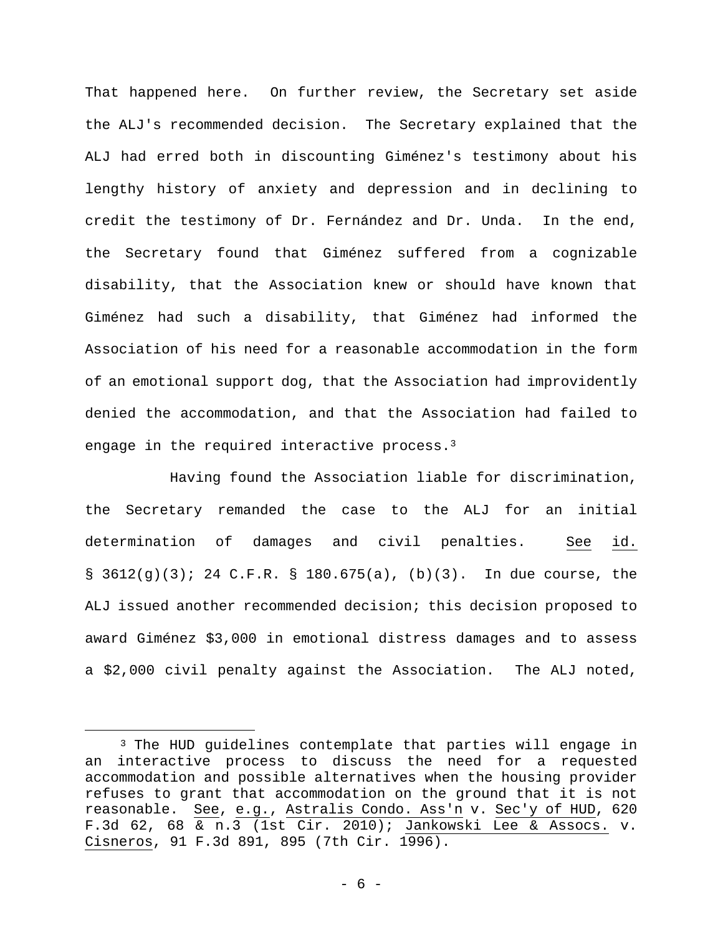That happened here. On further review, the Secretary set aside the ALJ's recommended decision. The Secretary explained that the ALJ had erred both in discounting Giménez's testimony about his lengthy history of anxiety and depression and in declining to credit the testimony of Dr. Fernández and Dr. Unda. In the end, the Secretary found that Giménez suffered from a cognizable disability, that the Association knew or should have known that Giménez had such a disability, that Giménez had informed the Association of his need for a reasonable accommodation in the form of an emotional support dog, that the Association had improvidently denied the accommodation, and that the Association had failed to engage in the required interactive process.<sup>3</sup>

Having found the Association liable for discrimination, the Secretary remanded the case to the ALJ for an initial determination of damages and civil penalties. See id. §  $3612(g)(3)$ ; 24 C.F.R. § 180.675(a), (b)(3). In due course, the ALJ issued another recommended decision; this decision proposed to award Giménez \$3,000 in emotional distress damages and to assess a \$2,000 civil penalty against the Association. The ALJ noted,

<sup>3</sup> The HUD guidelines contemplate that parties will engage in an interactive process to discuss the need for a requested accommodation and possible alternatives when the housing provider refuses to grant that accommodation on the ground that it is not reasonable. See, e.g., Astralis Condo. Ass'n v. Sec'y of HUD, 620 F.3d 62, 68 & n.3 (1st Cir. 2010); Jankowski Lee & Assocs. v. Cisneros, 91 F.3d 891, 895 (7th Cir. 1996).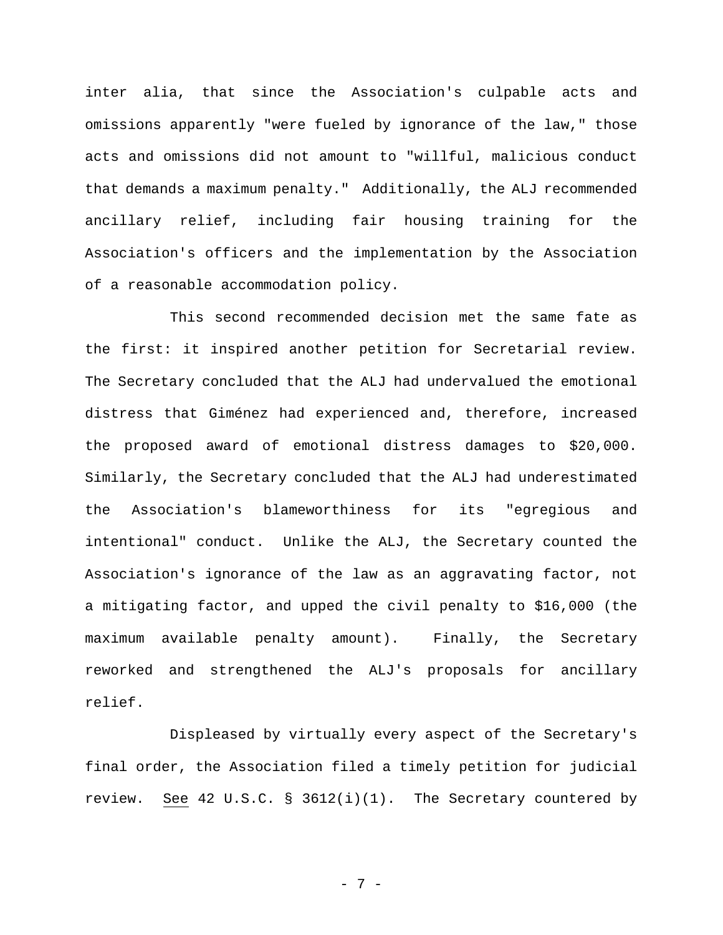inter alia, that since the Association's culpable acts and omissions apparently "were fueled by ignorance of the law," those acts and omissions did not amount to "willful, malicious conduct that demands a maximum penalty." Additionally, the ALJ recommended ancillary relief, including fair housing training for the Association's officers and the implementation by the Association of a reasonable accommodation policy.

This second recommended decision met the same fate as the first: it inspired another petition for Secretarial review. The Secretary concluded that the ALJ had undervalued the emotional distress that Giménez had experienced and, therefore, increased the proposed award of emotional distress damages to \$20,000. Similarly, the Secretary concluded that the ALJ had underestimated the Association's blameworthiness for its "egregious and intentional" conduct. Unlike the ALJ, the Secretary counted the Association's ignorance of the law as an aggravating factor, not a mitigating factor, and upped the civil penalty to \$16,000 (the maximum available penalty amount). Finally, the Secretary reworked and strengthened the ALJ's proposals for ancillary relief.

Displeased by virtually every aspect of the Secretary's final order, the Association filed a timely petition for judicial review. See 42 U.S.C. §  $3612(i)(1)$ . The Secretary countered by

- 7 -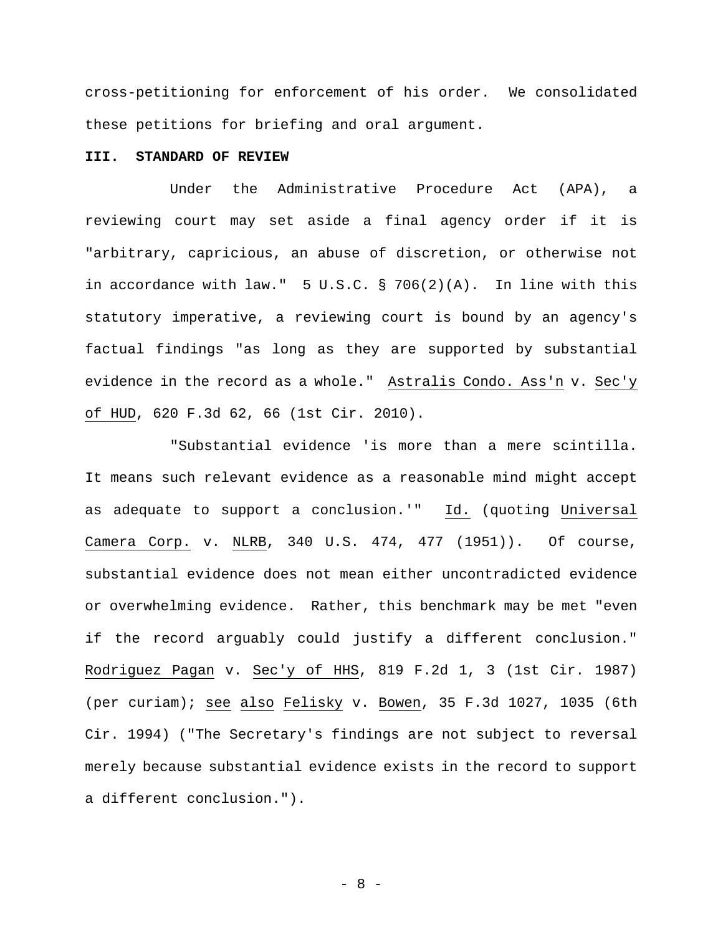cross-petitioning for enforcement of his order. We consolidated these petitions for briefing and oral argument.

## **III. STANDARD OF REVIEW**

Under the Administrative Procedure Act (APA), a reviewing court may set aside a final agency order if it is "arbitrary, capricious, an abuse of discretion, or otherwise not in accordance with law." 5 U.S.C. § 706(2)(A). In line with this statutory imperative, a reviewing court is bound by an agency's factual findings "as long as they are supported by substantial evidence in the record as a whole." Astralis Condo. Ass'n v. Sec'y of HUD, 620 F.3d 62, 66 (1st Cir. 2010).

"Substantial evidence 'is more than a mere scintilla. It means such relevant evidence as a reasonable mind might accept as adequate to support a conclusion.'" Id. (quoting Universal Camera Corp. v. NLRB, 340 U.S. 474, 477 (1951)). Of course, substantial evidence does not mean either uncontradicted evidence or overwhelming evidence. Rather, this benchmark may be met "even if the record arguably could justify a different conclusion." Rodriguez Pagan v. Sec'y of HHS, 819 F.2d 1, 3 (1st Cir. 1987) (per curiam); see also Felisky v. Bowen, 35 F.3d 1027, 1035 (6th Cir. 1994) ("The Secretary's findings are not subject to reversal merely because substantial evidence exists in the record to support a different conclusion.").

- 8 -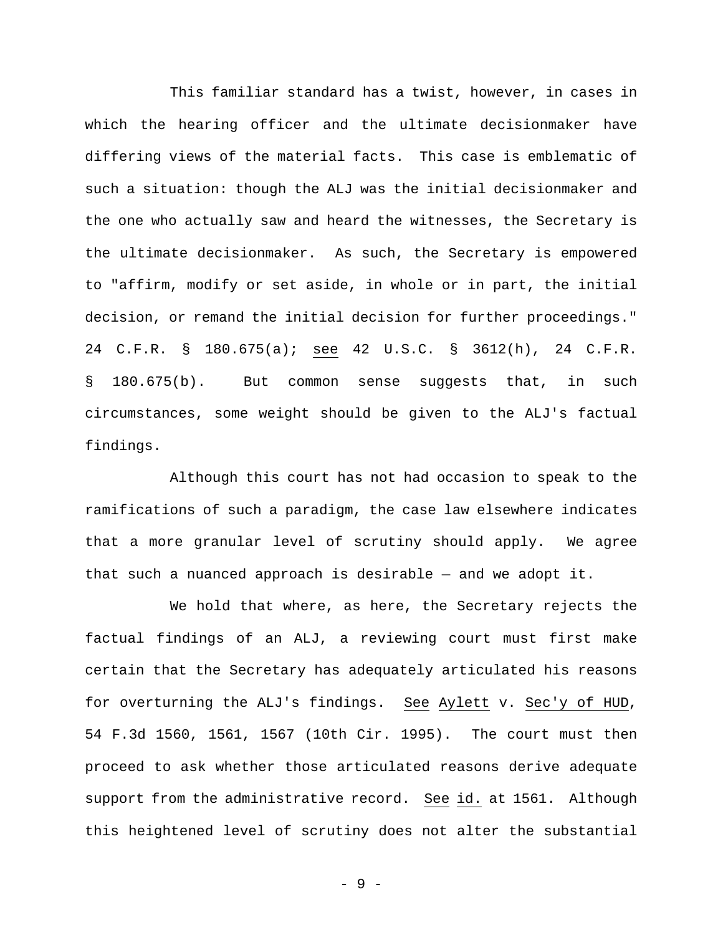This familiar standard has a twist, however, in cases in which the hearing officer and the ultimate decisionmaker have differing views of the material facts. This case is emblematic of such a situation: though the ALJ was the initial decisionmaker and the one who actually saw and heard the witnesses, the Secretary is the ultimate decisionmaker. As such, the Secretary is empowered to "affirm, modify or set aside, in whole or in part, the initial decision, or remand the initial decision for further proceedings." 24 C.F.R. § 180.675(a); see 42 U.S.C. § 3612(h), 24 C.F.R. § 180.675(b). But common sense suggests that, in such circumstances, some weight should be given to the ALJ's factual findings.

Although this court has not had occasion to speak to the ramifications of such a paradigm, the case law elsewhere indicates that a more granular level of scrutiny should apply. We agree that such a nuanced approach is desirable — and we adopt it.

We hold that where, as here, the Secretary rejects the factual findings of an ALJ, a reviewing court must first make certain that the Secretary has adequately articulated his reasons for overturning the ALJ's findings. See Aylett v. Sec'y of HUD, 54 F.3d 1560, 1561, 1567 (10th Cir. 1995). The court must then proceed to ask whether those articulated reasons derive adequate support from the administrative record. See id. at 1561. Although this heightened level of scrutiny does not alter the substantial

- 9 -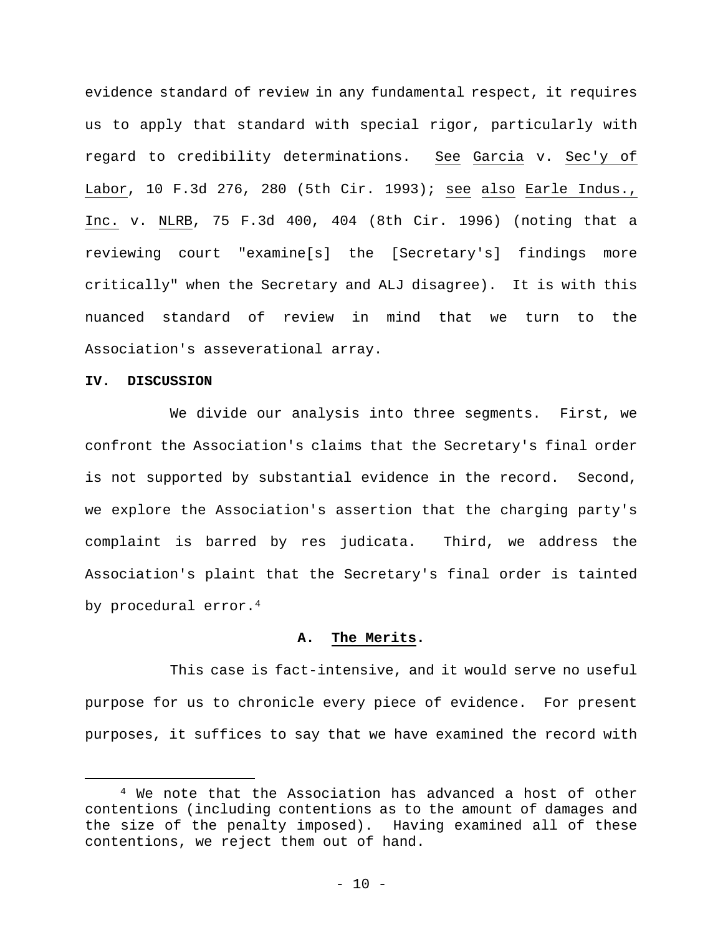evidence standard of review in any fundamental respect, it requires us to apply that standard with special rigor, particularly with regard to credibility determinations. See Garcia v. Sec'y of Labor, 10 F.3d 276, 280 (5th Cir. 1993); see also Earle Indus., Inc. v. NLRB, 75 F.3d 400, 404 (8th Cir. 1996) (noting that a reviewing court "examine[s] the [Secretary's] findings more critically" when the Secretary and ALJ disagree). It is with this nuanced standard of review in mind that we turn to the Association's asseverational array.

#### **IV. DISCUSSION**

i

We divide our analysis into three segments. First, we confront the Association's claims that the Secretary's final order is not supported by substantial evidence in the record. Second, we explore the Association's assertion that the charging party's complaint is barred by res judicata. Third, we address the Association's plaint that the Secretary's final order is tainted by procedural error.<sup>4</sup>

#### **A. The Merits.**

This case is fact-intensive, and it would serve no useful purpose for us to chronicle every piece of evidence. For present purposes, it suffices to say that we have examined the record with

4 We note that the Association has advanced a host of other contentions (including contentions as to the amount of damages and the size of the penalty imposed). Having examined all of these contentions, we reject them out of hand.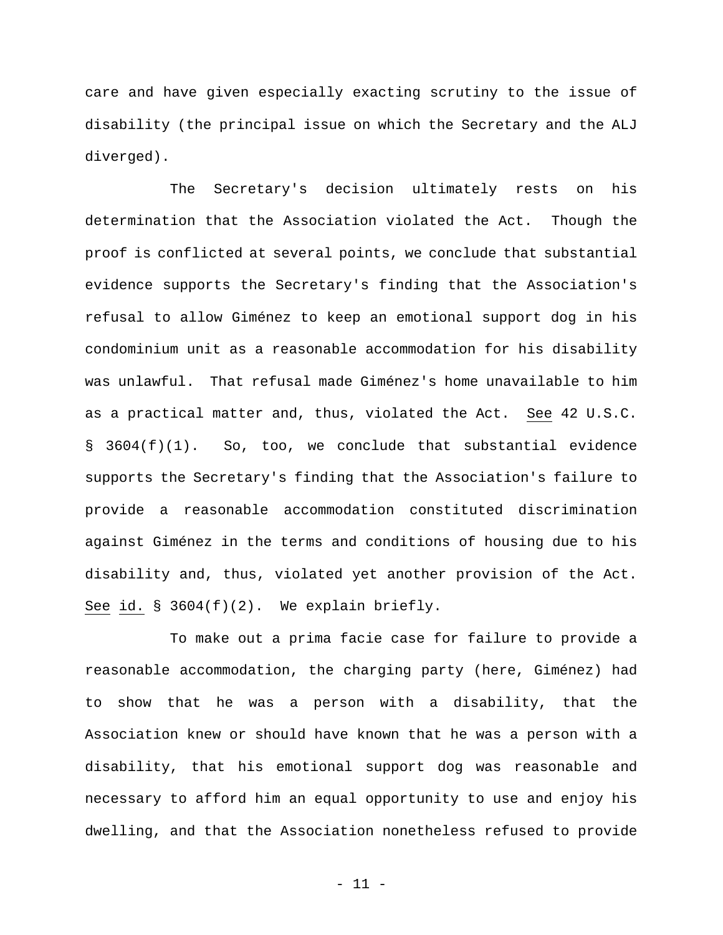care and have given especially exacting scrutiny to the issue of disability (the principal issue on which the Secretary and the ALJ diverged).

The Secretary's decision ultimately rests on his determination that the Association violated the Act. Though the proof is conflicted at several points, we conclude that substantial evidence supports the Secretary's finding that the Association's refusal to allow Giménez to keep an emotional support dog in his condominium unit as a reasonable accommodation for his disability was unlawful. That refusal made Giménez's home unavailable to him as a practical matter and, thus, violated the Act. See 42 U.S.C. § 3604(f)(1). So, too, we conclude that substantial evidence supports the Secretary's finding that the Association's failure to provide a reasonable accommodation constituted discrimination against Giménez in the terms and conditions of housing due to his disability and, thus, violated yet another provision of the Act. See id. § 3604(f)(2). We explain briefly.

To make out a prima facie case for failure to provide a reasonable accommodation, the charging party (here, Giménez) had to show that he was a person with a disability, that the Association knew or should have known that he was a person with a disability, that his emotional support dog was reasonable and necessary to afford him an equal opportunity to use and enjoy his dwelling, and that the Association nonetheless refused to provide

- 11 -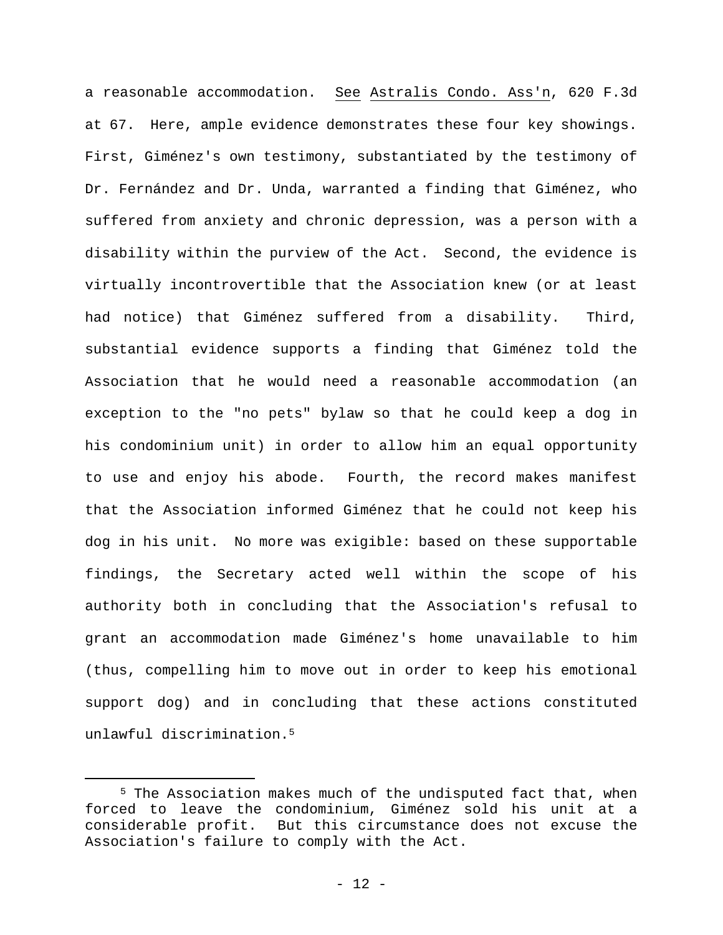a reasonable accommodation. See Astralis Condo. Ass'n, 620 F.3d at 67. Here, ample evidence demonstrates these four key showings. First, Giménez's own testimony, substantiated by the testimony of Dr. Fernández and Dr. Unda, warranted a finding that Giménez, who suffered from anxiety and chronic depression, was a person with a disability within the purview of the Act. Second, the evidence is virtually incontrovertible that the Association knew (or at least had notice) that Giménez suffered from a disability. Third, substantial evidence supports a finding that Giménez told the Association that he would need a reasonable accommodation (an exception to the "no pets" bylaw so that he could keep a dog in his condominium unit) in order to allow him an equal opportunity to use and enjoy his abode. Fourth, the record makes manifest that the Association informed Giménez that he could not keep his dog in his unit. No more was exigible: based on these supportable findings, the Secretary acted well within the scope of his authority both in concluding that the Association's refusal to grant an accommodation made Giménez's home unavailable to him (thus, compelling him to move out in order to keep his emotional support dog) and in concluding that these actions constituted unlawful discrimination.5

5 The Association makes much of the undisputed fact that, when forced to leave the condominium, Giménez sold his unit at a considerable profit. But this circumstance does not excuse the Association's failure to comply with the Act.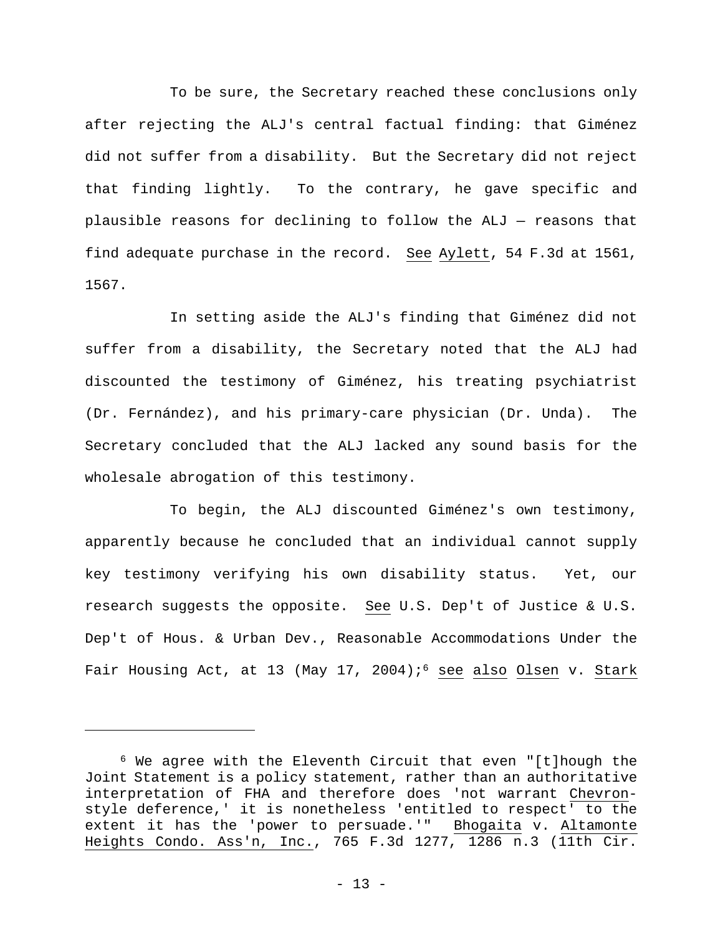To be sure, the Secretary reached these conclusions only after rejecting the ALJ's central factual finding: that Giménez did not suffer from a disability. But the Secretary did not reject that finding lightly. To the contrary, he gave specific and plausible reasons for declining to follow the ALJ — reasons that find adequate purchase in the record. See Aylett, 54 F.3d at 1561, 1567.

In setting aside the ALJ's finding that Giménez did not suffer from a disability, the Secretary noted that the ALJ had discounted the testimony of Giménez, his treating psychiatrist (Dr. Fernández), and his primary-care physician (Dr. Unda). The Secretary concluded that the ALJ lacked any sound basis for the wholesale abrogation of this testimony.

To begin, the ALJ discounted Giménez's own testimony, apparently because he concluded that an individual cannot supply key testimony verifying his own disability status. Yet, our research suggests the opposite. See U.S. Dep't of Justice & U.S. Dep't of Hous. & Urban Dev., Reasonable Accommodations Under the Fair Housing Act, at 13 (May 17, 2004);<sup>6</sup> see also Olsen v. Stark

6 We agree with the Eleventh Circuit that even "[t]hough the Joint Statement is a policy statement, rather than an authoritative interpretation of FHA and therefore does 'not warrant Chevronstyle deference,' it is nonetheless 'entitled to respect' to the extent it has the 'power to persuade.'" Bhogaita v. Altamonte Heights Condo. Ass'n, Inc., 765 F.3d 1277, 1286 n.3 (11th Cir.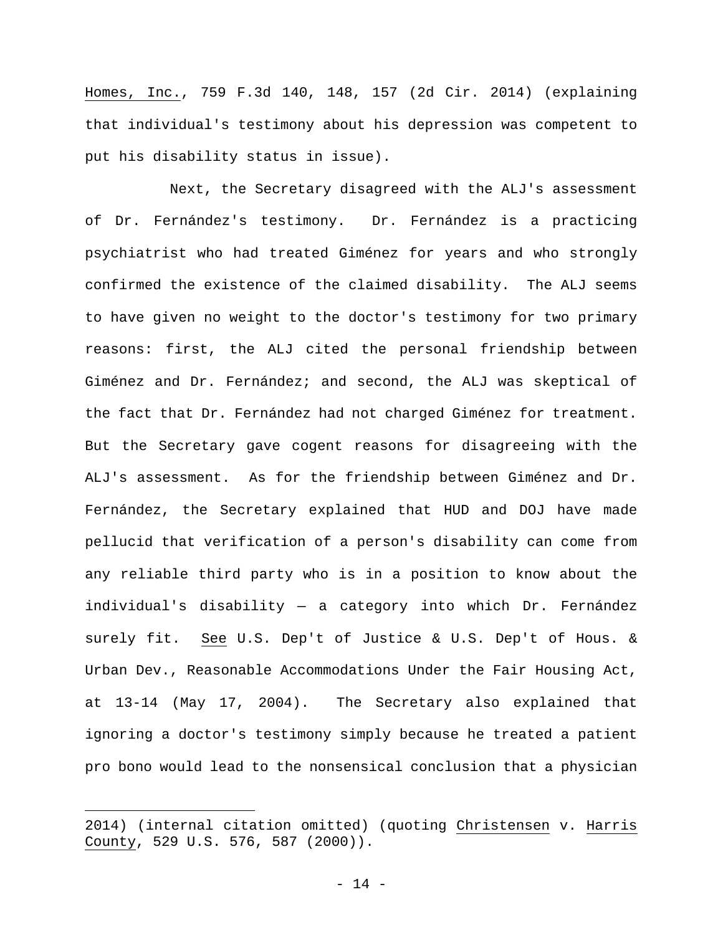Homes, Inc., 759 F.3d 140, 148, 157 (2d Cir. 2014) (explaining that individual's testimony about his depression was competent to put his disability status in issue).

Next, the Secretary disagreed with the ALJ's assessment of Dr. Fernández's testimony. Dr. Fernández is a practicing psychiatrist who had treated Giménez for years and who strongly confirmed the existence of the claimed disability. The ALJ seems to have given no weight to the doctor's testimony for two primary reasons: first, the ALJ cited the personal friendship between Giménez and Dr. Fernández; and second, the ALJ was skeptical of the fact that Dr. Fernández had not charged Giménez for treatment. But the Secretary gave cogent reasons for disagreeing with the ALJ's assessment. As for the friendship between Giménez and Dr. Fernández, the Secretary explained that HUD and DOJ have made pellucid that verification of a person's disability can come from any reliable third party who is in a position to know about the individual's disability — a category into which Dr. Fernández surely fit. See U.S. Dep't of Justice & U.S. Dep't of Hous. & Urban Dev., Reasonable Accommodations Under the Fair Housing Act, at 13-14 (May 17, 2004). The Secretary also explained that ignoring a doctor's testimony simply because he treated a patient pro bono would lead to the nonsensical conclusion that a physician

<sup>2014) (</sup>internal citation omitted) (quoting Christensen v. Harris County, 529 U.S. 576, 587 (2000)).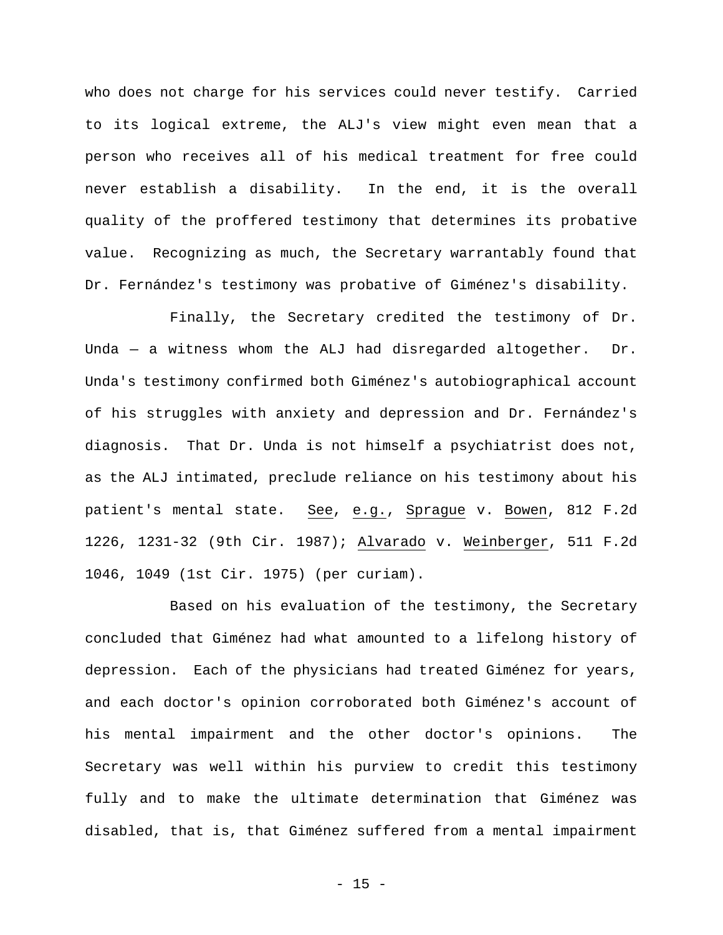who does not charge for his services could never testify. Carried to its logical extreme, the ALJ's view might even mean that a person who receives all of his medical treatment for free could never establish a disability. In the end, it is the overall quality of the proffered testimony that determines its probative value. Recognizing as much, the Secretary warrantably found that Dr. Fernández's testimony was probative of Giménez's disability.

Finally, the Secretary credited the testimony of Dr. Unda — a witness whom the ALJ had disregarded altogether. Dr. Unda's testimony confirmed both Giménez's autobiographical account of his struggles with anxiety and depression and Dr. Fernández's diagnosis. That Dr. Unda is not himself a psychiatrist does not, as the ALJ intimated, preclude reliance on his testimony about his patient's mental state. See, e.g., Sprague v. Bowen, 812 F.2d 1226, 1231-32 (9th Cir. 1987); Alvarado v. Weinberger, 511 F.2d 1046, 1049 (1st Cir. 1975) (per curiam).

Based on his evaluation of the testimony, the Secretary concluded that Giménez had what amounted to a lifelong history of depression. Each of the physicians had treated Giménez for years, and each doctor's opinion corroborated both Giménez's account of his mental impairment and the other doctor's opinions. The Secretary was well within his purview to credit this testimony fully and to make the ultimate determination that Giménez was disabled, that is, that Giménez suffered from a mental impairment

 $- 15 -$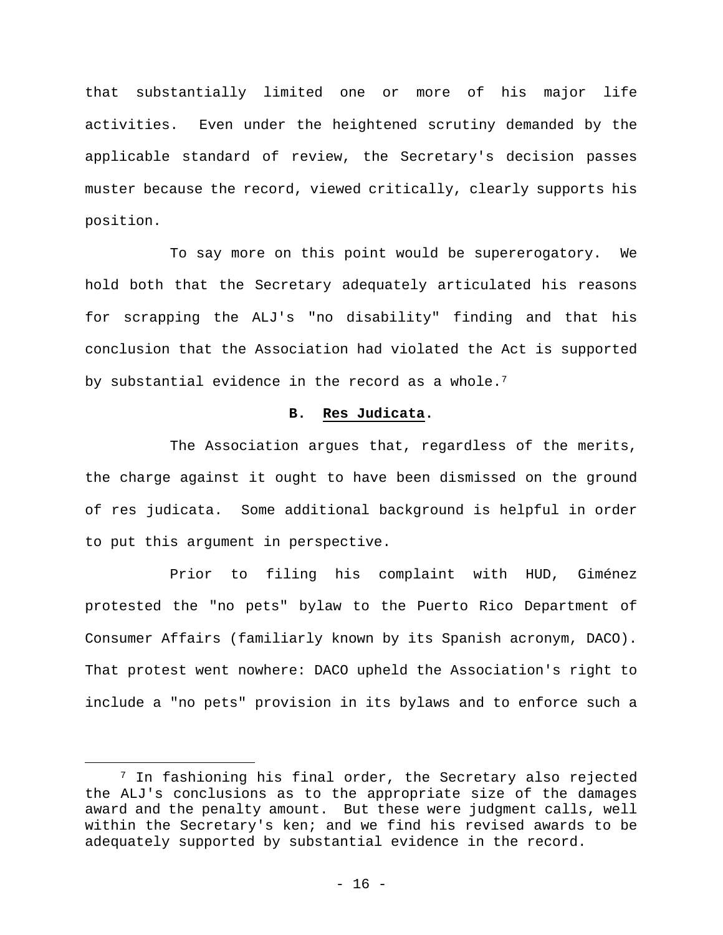that substantially limited one or more of his major life activities. Even under the heightened scrutiny demanded by the applicable standard of review, the Secretary's decision passes muster because the record, viewed critically, clearly supports his position.

To say more on this point would be supererogatory. We hold both that the Secretary adequately articulated his reasons for scrapping the ALJ's "no disability" finding and that his conclusion that the Association had violated the Act is supported by substantial evidence in the record as a whole.<sup>7</sup>

#### **B. Res Judicata.**

The Association argues that, regardless of the merits, the charge against it ought to have been dismissed on the ground of res judicata. Some additional background is helpful in order to put this argument in perspective.

Prior to filing his complaint with HUD, Giménez protested the "no pets" bylaw to the Puerto Rico Department of Consumer Affairs (familiarly known by its Spanish acronym, DACO). That protest went nowhere: DACO upheld the Association's right to include a "no pets" provision in its bylaws and to enforce such a

7 In fashioning his final order, the Secretary also rejected the ALJ's conclusions as to the appropriate size of the damages award and the penalty amount. But these were judgment calls, well within the Secretary's ken; and we find his revised awards to be adequately supported by substantial evidence in the record.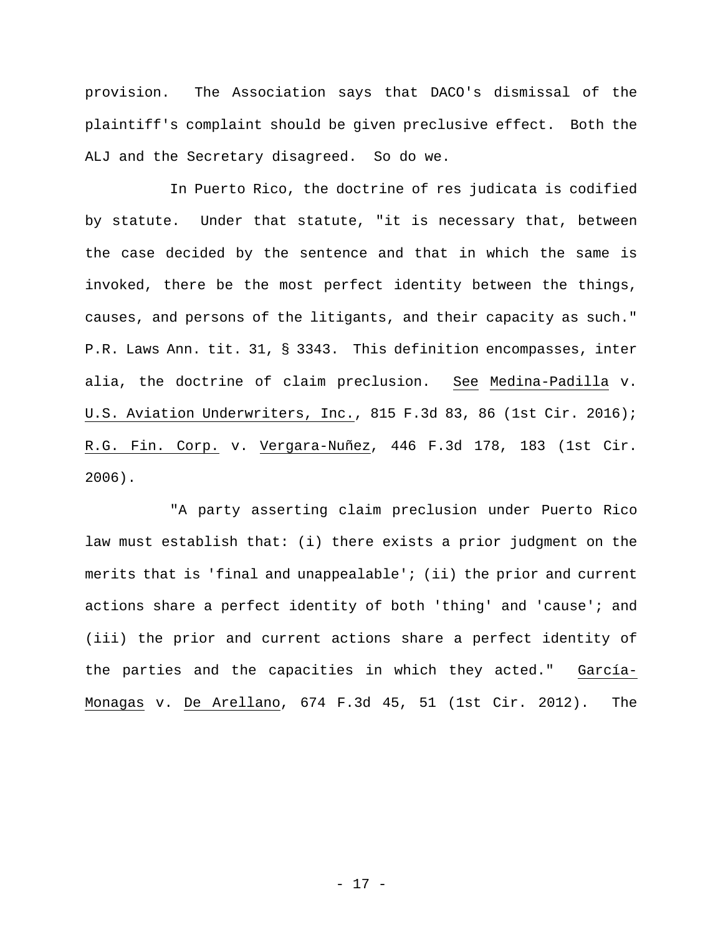provision. The Association says that DACO's dismissal of the plaintiff's complaint should be given preclusive effect. Both the ALJ and the Secretary disagreed. So do we.

In Puerto Rico, the doctrine of res judicata is codified by statute. Under that statute, "it is necessary that, between the case decided by the sentence and that in which the same is invoked, there be the most perfect identity between the things, causes, and persons of the litigants, and their capacity as such." P.R. Laws Ann. tit. 31, § 3343. This definition encompasses, inter alia, the doctrine of claim preclusion. See Medina-Padilla v. U.S. Aviation Underwriters, Inc., 815 F.3d 83, 86 (1st Cir. 2016); R.G. Fin. Corp. v. Vergara-Nuñez, 446 F.3d 178, 183 (1st Cir. 2006).

"A party asserting claim preclusion under Puerto Rico law must establish that: (i) there exists a prior judgment on the merits that is 'final and unappealable'; (ii) the prior and current actions share a perfect identity of both 'thing' and 'cause'; and (iii) the prior and current actions share a perfect identity of the parties and the capacities in which they acted." García-Monagas v. De Arellano, 674 F.3d 45, 51 (1st Cir. 2012). The

- 17 -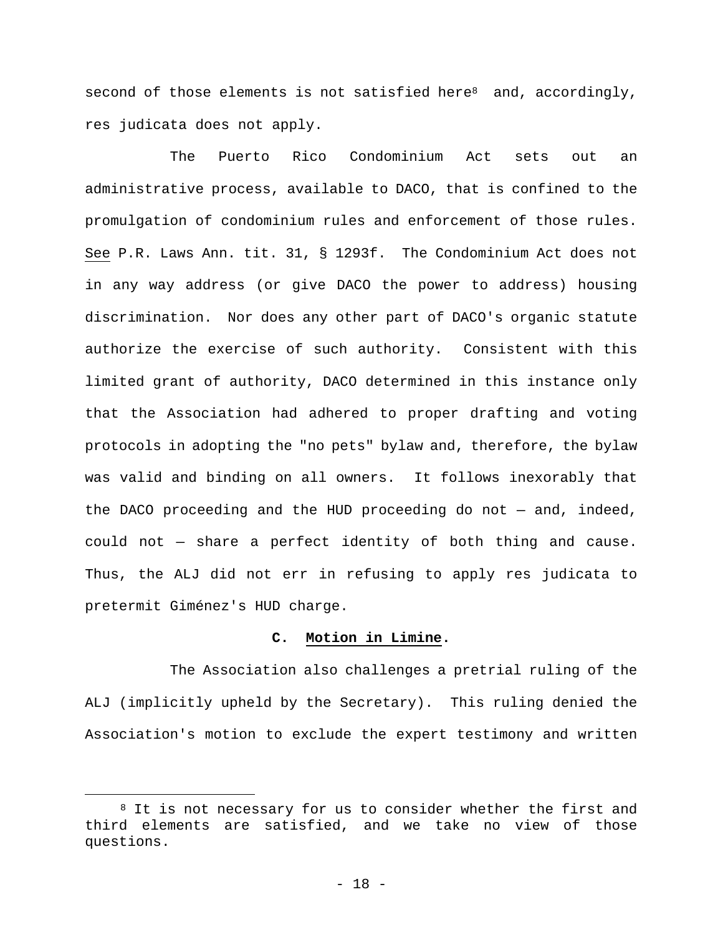second of those elements is not satisfied here<sup>8</sup> and, accordingly, res judicata does not apply.

The Puerto Rico Condominium Act sets out an administrative process, available to DACO, that is confined to the promulgation of condominium rules and enforcement of those rules. See P.R. Laws Ann. tit. 31, § 1293f. The Condominium Act does not in any way address (or give DACO the power to address) housing discrimination. Nor does any other part of DACO's organic statute authorize the exercise of such authority. Consistent with this limited grant of authority, DACO determined in this instance only that the Association had adhered to proper drafting and voting protocols in adopting the "no pets" bylaw and, therefore, the bylaw was valid and binding on all owners. It follows inexorably that the DACO proceeding and the HUD proceeding do not — and, indeed, could not — share a perfect identity of both thing and cause. Thus, the ALJ did not err in refusing to apply res judicata to pretermit Giménez's HUD charge.

# **C. Motion in Limine.**

The Association also challenges a pretrial ruling of the ALJ (implicitly upheld by the Secretary). This ruling denied the Association's motion to exclude the expert testimony and written

<sup>&</sup>lt;sup>8</sup> It is not necessary for us to consider whether the first and third elements are satisfied, and we take no view of those questions.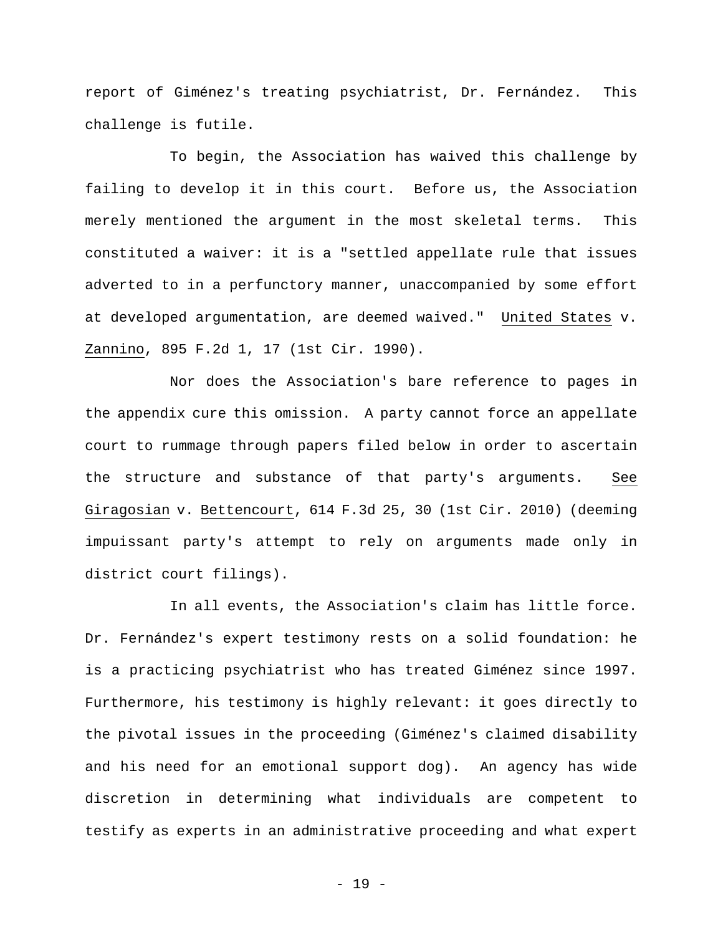report of Giménez's treating psychiatrist, Dr. Fernández. This challenge is futile.

To begin, the Association has waived this challenge by failing to develop it in this court. Before us, the Association merely mentioned the argument in the most skeletal terms. This constituted a waiver: it is a "settled appellate rule that issues adverted to in a perfunctory manner, unaccompanied by some effort at developed argumentation, are deemed waived." United States v. Zannino, 895 F.2d 1, 17 (1st Cir. 1990).

Nor does the Association's bare reference to pages in the appendix cure this omission. A party cannot force an appellate court to rummage through papers filed below in order to ascertain the structure and substance of that party's arguments. See Giragosian v. Bettencourt, 614 F.3d 25, 30 (1st Cir. 2010) (deeming impuissant party's attempt to rely on arguments made only in district court filings).

In all events, the Association's claim has little force. Dr. Fernández's expert testimony rests on a solid foundation: he is a practicing psychiatrist who has treated Giménez since 1997. Furthermore, his testimony is highly relevant: it goes directly to the pivotal issues in the proceeding (Giménez's claimed disability and his need for an emotional support dog). An agency has wide discretion in determining what individuals are competent to testify as experts in an administrative proceeding and what expert

- 19 -